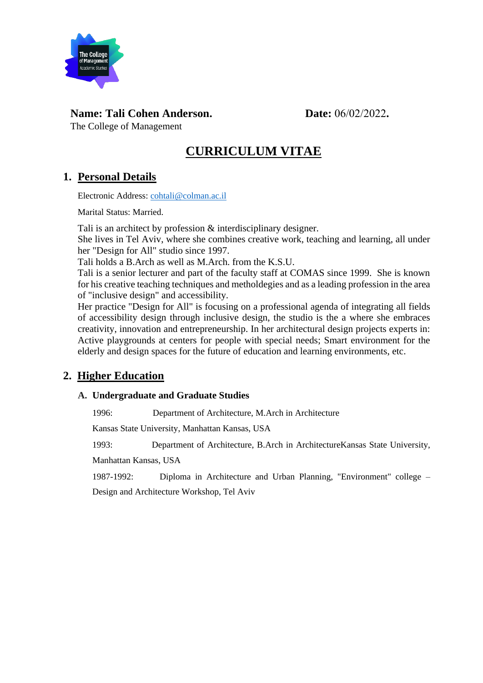

## **Name: Tali Cohen Anderson. Date:** 06/02/2022**.**

The College of Management

# **CURRICULUM VITAE**

## **1. Personal Details**

Electronic Address: [cohtali@colman.ac.il](mailto:cohtali@colman.ac.il)

Marital Status: Married.

Tali is an architect by profession & interdisciplinary designer.

She lives in Tel Aviv, where she combines creative work, teaching and learning, all under her "Design for All" studio since 1997.

Tali holds a B.Arch as well as M.Arch. from the K.S.U.

Tali is a senior lecturer and part of the faculty staff at COMAS since 1999. She is known for his creative teaching techniques and metholdegies and as a leading profession in the area of "inclusive design" and accessibility.

Her practice "Design for All" is focusing on a professional agenda of integrating all fields of accessibility design through inclusive design, the studio is the a where she embraces creativity, innovation and entrepreneurship. In her architectural design projects experts in: Active playgrounds at centers for people with special needs; Smart environment for the elderly and design spaces for the future of education and learning environments, etc.

## **2. Higher Education**

### **A. Undergraduate and Graduate Studies**

1996: Department of Architecture, M.Arch in Architecture

Kansas State University, Manhattan Kansas, USA

1993: Department of Architecture, B.Arch in ArchitectureKansas State University,

Manhattan Kansas, USA

1987-1992: Diploma in Architecture and Urban Planning, "Environment" college –

Design and Architecture Workshop, Tel Aviv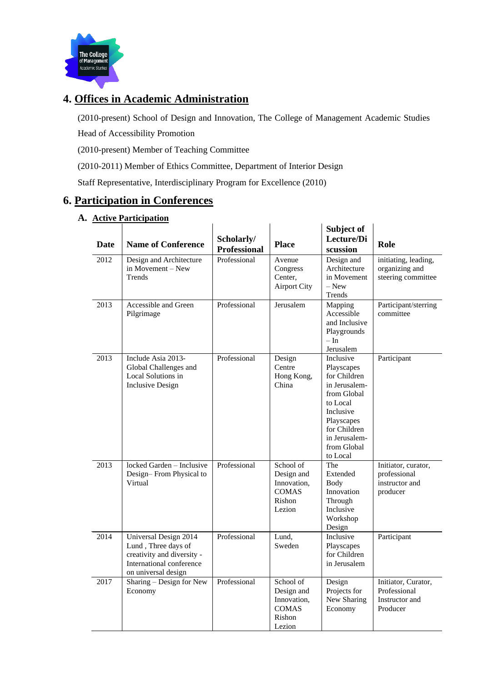

# **4. Offices in Academic Administration**

(2010-present) School of Design and Innovation, The College of Management Academic Studies Head of Accessibility Promotion

(2010-present) Member of Teaching Committee

(2010-2011) Member of Ethics Committee, Department of Interior Design

Staff Representative, Interdisciplinary Program for Excellence (2010)

## **6. Participation in Conferences**

#### **A. Active Participation**

|             | <u>Atuve i alutipatibil</u>                                                                                                   |                                   |                                                                            |                                                                                                                                                                            |                                                                   |
|-------------|-------------------------------------------------------------------------------------------------------------------------------|-----------------------------------|----------------------------------------------------------------------------|----------------------------------------------------------------------------------------------------------------------------------------------------------------------------|-------------------------------------------------------------------|
| <b>Date</b> | <b>Name of Conference</b>                                                                                                     | Scholarly/<br><b>Professional</b> | <b>Place</b>                                                               | Subject of<br>Lecture/Di<br>scussion                                                                                                                                       | Role                                                              |
| 2012        | Design and Architecture<br>in Movement - New<br>Trends                                                                        | Professional                      | Avenue<br>Congress<br>Center,<br><b>Airport City</b>                       | Design and<br>Architecture<br>in Movement<br>$-$ New<br>Trends                                                                                                             | initiating, leading,<br>organizing and<br>steering committee      |
| 2013        | Accessible and Green<br>Pilgrimage                                                                                            | Professional                      | Jerusalem                                                                  | Mapping<br>Accessible<br>and Inclusive<br>Playgrounds<br>$-\ln$<br>Jerusalem                                                                                               | Participant/sterring<br>committee                                 |
| 2013        | Include Asia 2013-<br>Global Challenges and<br>Local Solutions in<br><b>Inclusive Design</b>                                  | Professional                      | Design<br>Centre<br>Hong Kong,<br>China                                    | Inclusive<br>Playscapes<br>for Children<br>in Jerusalem-<br>from Global<br>to Local<br>Inclusive<br>Playscapes<br>for Children<br>in Jerusalem-<br>from Global<br>to Local | Participant                                                       |
| 2013        | locked Garden - Inclusive<br>Design-From Physical to<br>Virtual                                                               | Professional                      | School of<br>Design and<br>Innovation.<br><b>COMAS</b><br>Rishon<br>Lezion | The<br>Extended<br>Body<br>Innovation<br>Through<br>Inclusive<br>Workshop<br>Design                                                                                        | Initiator, curator,<br>professional<br>instructor and<br>producer |
| 2014        | Universal Design 2014<br>Lund, Three days of<br>creativity and diversity -<br>International conference<br>on universal design | Professional                      | Lund,<br>Sweden                                                            | Inclusive<br>Playscapes<br>for Children<br>in Jerusalem                                                                                                                    | Participant                                                       |
| 2017        | Sharing – Design for New<br>Economy                                                                                           | Professional                      | School of<br>Design and<br>Innovation,<br><b>COMAS</b><br>Rishon<br>Lezion | Design<br>Projects for<br>New Sharing<br>Economy                                                                                                                           | Initiator, Curator,<br>Professional<br>Instructor and<br>Producer |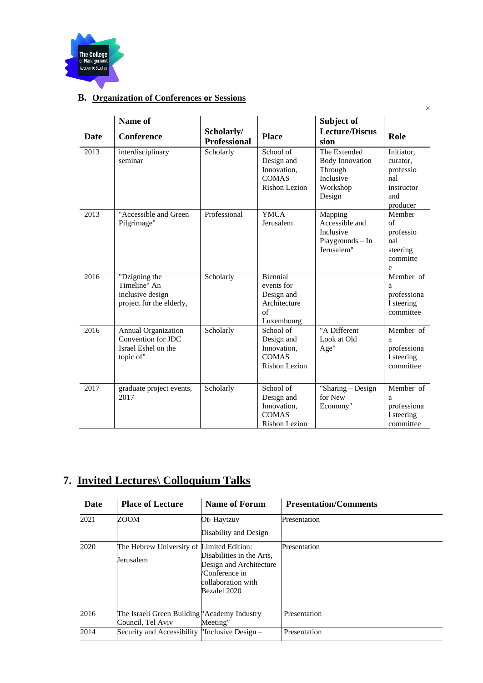

### **B. Organization of Conferences or Sessions**

| Date | Name of<br><b>Conference</b>                                                         | Scholarly/<br><b>Professional</b> | <b>Place</b>                                                                    | Subject of<br><b>Lecture/Discus</b><br>sion                                          | Role                                                                        |
|------|--------------------------------------------------------------------------------------|-----------------------------------|---------------------------------------------------------------------------------|--------------------------------------------------------------------------------------|-----------------------------------------------------------------------------|
| 2013 | interdisciplinary<br>seminar                                                         | Scholarly                         | School of<br>Design and<br>Innovation,<br><b>COMAS</b><br>Rishon Lezion         | The Extended<br><b>Body Innovation</b><br>Through<br>Inclusive<br>Workshop<br>Design | Initiator,<br>curator.<br>professio<br>nal<br>instructor<br>and<br>producer |
| 2013 | "Accessible and Green<br>Pilgrimage"                                                 | Professional                      | <b>YMCA</b><br>Jerusalem                                                        | Mapping<br>Accessible and<br>Inclusive<br>Playgrounds - In<br>Jerusalem"             | Member<br>of<br>professio<br>nal<br>steering<br>committe<br>e               |
| 2016 | "Dzigning the<br>Timeline" An<br>inclusive design<br>project for the elderly,        | Scholarly                         | <b>Biennial</b><br>events for<br>Design and<br>Architecture<br>of<br>Luxembourg |                                                                                      | Member of<br>a<br>professiona<br>1 steering<br>committee                    |
| 2016 | <b>Annual Organization</b><br>Convention for JDC<br>Israel Eshel on the<br>topic of" | Scholarly                         | School of<br>Design and<br>Innovation.<br><b>COMAS</b><br><b>Rishon Lezion</b>  | "A Different<br>Look at Old<br>Age"                                                  | Member of<br>a<br>professiona<br>1 steering<br>committee                    |
| 2017 | graduate project events,<br>2017                                                     | Scholarly                         | School of<br>Design and<br>Innovation,<br><b>COMAS</b><br>Rishon Lezion         | "Sharing - Design<br>for New<br>Economy"                                             | Member of<br>a<br>professiona<br>1 steering<br>committee                    |

# **7. Invited Lectures\ Colloquium Talks**

| <b>Date</b> | <b>Place of Lecture</b>                        | <b>Name of Forum</b>                                 | <b>Presentation/Comments</b> |
|-------------|------------------------------------------------|------------------------------------------------------|------------------------------|
| 2021        | ZOOM                                           | Ot-Haytzuv                                           | Presentation                 |
|             |                                                | Disability and Design                                |                              |
| 2020        | The Hebrew University of Limited Edition:      |                                                      | Presentation                 |
|             | Jerusalem                                      | Disabilities in the Arts,<br>Design and Architecture |                              |
|             |                                                | /Conference in                                       |                              |
|             |                                                | collaboration with                                   |                              |
|             |                                                | Bezalel 2020                                         |                              |
|             |                                                |                                                      |                              |
| 2016        | The Israeli Green Building "Academy Industry"  |                                                      | Presentation                 |
|             | Council, Tel Aviv                              | Meeting"                                             |                              |
| 2014        | Security and Accessibility "Inclusive Design - |                                                      | Presentation                 |

×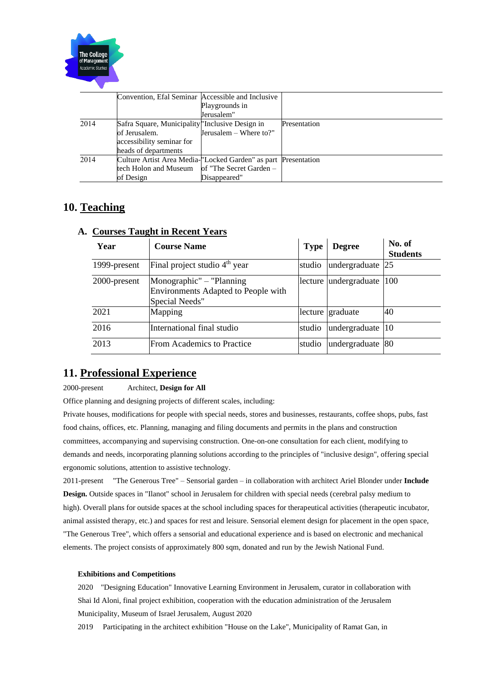

|      | Convention, Efal Seminar Accessible and Inclusive                           |                         |              |
|------|-----------------------------------------------------------------------------|-------------------------|--------------|
|      |                                                                             | Playgrounds in          |              |
|      |                                                                             | Jerusalem"              |              |
| 2014 | Safra Square, Municipality The usive Design in                              |                         | Presentation |
|      | of Jerusalem.                                                               | Jerusalem - Where to?"  |              |
|      | accessibility seminar for                                                   |                         |              |
|      | heads of departments                                                        |                         |              |
| 2014 | Culture Artist Area Media- <sup>"</sup> Locked Garden" as part Presentation |                         |              |
|      | tech Holon and Museum                                                       | of "The Secret Garden – |              |
|      | of Design                                                                   | Disappeared"            |              |

## **10. Teaching**

| Year         | Courbes Funche in Invente Feuil<br><b>Course Name</b>                             | Type   | <b>Degree</b>             | No. of<br><b>Students</b> |
|--------------|-----------------------------------------------------------------------------------|--------|---------------------------|---------------------------|
| 1999-present | Final project studio 4 <sup>th</sup> year                                         | studio | undergraduate 25          |                           |
| 2000-present | Monographic" - "Planning<br>Environments Adapted to People with<br>Special Needs" |        | lecture undergraduate 100 |                           |
| 2021         | Mapping                                                                           |        | lecture graduate          | 40                        |
| 2016         | International final studio                                                        | studio | undergraduate             | $ 10\rangle$              |
| 2013         | <b>From Academics to Practice</b>                                                 | studio | undergraduate 80          |                           |

### **A. Courses Taught in Recent Years**

## **11. Professional Experience**

#### 2000-present Architect, **Design for All**

Office planning and designing projects of different scales, including:

Private houses, modifications for people with special needs, stores and businesses, restaurants, coffee shops, pubs, fast food chains, offices, etc. Planning, managing and filing documents and permits in the plans and construction committees, accompanying and supervising construction. One-on-one consultation for each client, modifying to demands and needs, incorporating planning solutions according to the principles of "inclusive design", offering special ergonomic solutions, attention to assistive technology.

2011-present "The Generous Tree" – Sensorial garden – in collaboration with architect Ariel Blonder under **Include Design.** Outside spaces in "Ilanot" school in Jerusalem for children with special needs (cerebral palsy medium to high). Overall plans for outside spaces at the school including spaces for therapeutical activities (therapeutic incubator, animal assisted therapy, etc.) and spaces for rest and leisure. Sensorial element design for placement in the open space, "The Generous Tree", which offers a sensorial and educational experience and is based on electronic and mechanical elements. The project consists of approximately 800 sqm, donated and run by the Jewish National Fund.

#### **Exhibitions and Competitions**

2020 "Designing Education" Innovative Learning Environment in Jerusalem, curator in collaboration with Shai Id Aloni, final project exhibition, cooperation with the education administration of the Jerusalem Municipality, Museum of Israel Jerusalem, August 2020

2019 Participating in the architect exhibition "House on the Lake", Municipality of Ramat Gan, in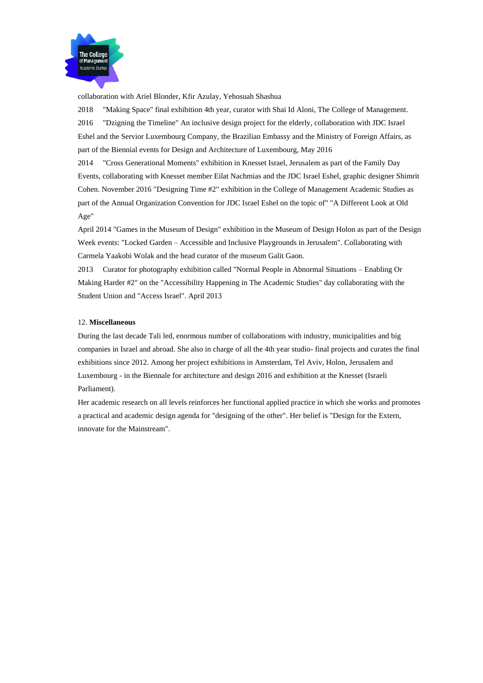

collaboration with Ariel Blonder, Kfir Azulay, Yehosuah Shashua

2018 "Making Space" final exhibition 4th year, curator with Shai Id Aloni, The College of Management. 2016 "Dzigning the Timeline" An inclusive design project for the elderly, collaboration with JDC Israel Eshel and the Servior Luxembourg Company, the Brazilian Embassy and the Ministry of Foreign Affairs, as part of the Biennial events for Design and Architecture of Luxembourg, May 2016

2014 "Cross Generational Moments" exhibition in Knesset Israel, Jerusalem as part of the Family Day Events, collaborating with Knesset member Eilat Nachmias and the JDC Israel Eshel, graphic designer Shimrit Cohen. November 2016 "Designing Time #2" exhibition in the College of Management Academic Studies as part of the Annual Organization Convention for JDC Israel Eshel on the topic of" "A Different Look at Old Age"

April 2014 "Games in the Museum of Design" exhibition in the Museum of Design Holon as part of the Design Week events: "Locked Garden – Accessible and Inclusive Playgrounds in Jerusalem". Collaborating with Carmela Yaakobi Wolak and the head curator of the museum Galit Gaon.

2013 Curator for photography exhibition called "Normal People in Abnormal Situations – Enabling Or Making Harder #2" on the "Accessibility Happening in The Academic Studies" day collaborating with the Student Union and "Access Israel". April 2013

#### 12. **Miscellaneous**

During the last decade Tali led, enormous number of collaborations with industry, municipalities and big companies in Israel and abroad. She also in charge of all the 4th year studio- final projects and curates the final exhibitions since 2012. Among her project exhibitions in Amsterdam, Tel Aviv, Holon, Jerusalem and Luxembourg - in the Biennale for architecture and design 2016 and exhibition at the Knesset (Israeli Parliament).

Her academic research on all levels reinforces her functional applied practice in which she works and promotes a practical and academic design agenda for "designing of the other". Her belief is "Design for the Extern, innovate for the Mainstream".